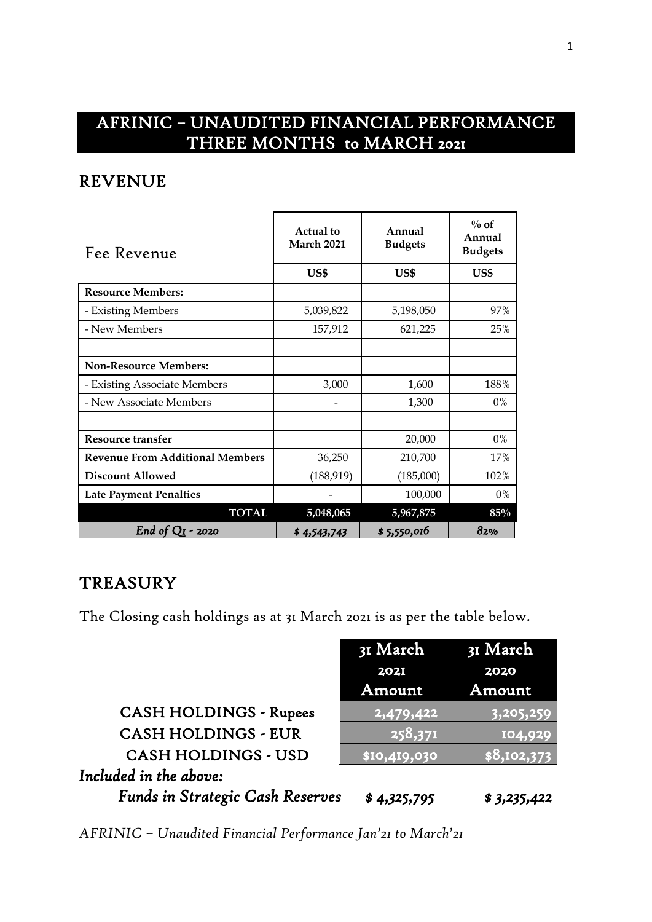# AFRINIC – UNAUDITED FINANCIAL PERFORMANCE THREE MONTHS to MARCH 2021

## REVENUE

| Fee Revenue                            | <b>Actual</b> to<br>March 2021 | Annual<br><b>Budgets</b> | $\%$ of<br>Annual<br><b>Budgets</b> |
|----------------------------------------|--------------------------------|--------------------------|-------------------------------------|
|                                        | US\$                           | US\$                     | US\$                                |
| <b>Resource Members:</b>               |                                |                          |                                     |
| - Existing Members                     | 5,039,822                      | 5,198,050                | 97%                                 |
| - New Members                          | 157,912                        | 621,225                  | 25%                                 |
|                                        |                                |                          |                                     |
| <b>Non-Resource Members:</b>           |                                |                          |                                     |
| - Existing Associate Members           | 3,000                          | 1,600                    | 188%                                |
| - New Associate Members                |                                | 1,300                    | $0\%$                               |
|                                        |                                |                          |                                     |
| Resource transfer                      |                                | 20,000                   | $0\%$                               |
| <b>Revenue From Additional Members</b> | 36,250                         | 210,700                  | 17%                                 |
| <b>Discount Allowed</b>                | (188, 919)                     | (185,000)                | 102%                                |
| <b>Late Payment Penalties</b>          |                                | 100,000                  | $0\%$                               |
| <b>TOTAL</b>                           | 5,048,065                      | 5,967,875                | $85\%$                              |
| End of $QI$ - 2020                     | \$4,543,743                    | \$5,550,016              | 82%                                 |

## **TREASURY**

The Closing cash holdings as at 31 March 2021 is as per the table below.

|                                         | 31 March                | 31 March    |
|-----------------------------------------|-------------------------|-------------|
|                                         | <b>202I</b>             | 2020        |
|                                         | Amount                  | Amount      |
| <b>CASH HOLDINGS - Rupees</b>           | $\overline{12,479,422}$ | 3,205,259   |
| <b>CASH HOLDINGS - EUR</b>              | 258,371                 | 104,929     |
| <b>CASH HOLDINGS - USD</b>              | \$10,419,030            | \$8,102,373 |
| Included in the above:                  |                         |             |
| <b>Funds in Strategic Cash Reserves</b> | \$4,325,795             | \$3,235,422 |

*AFRINIC – Unaudited Financial Performance Jan'21 to March'21*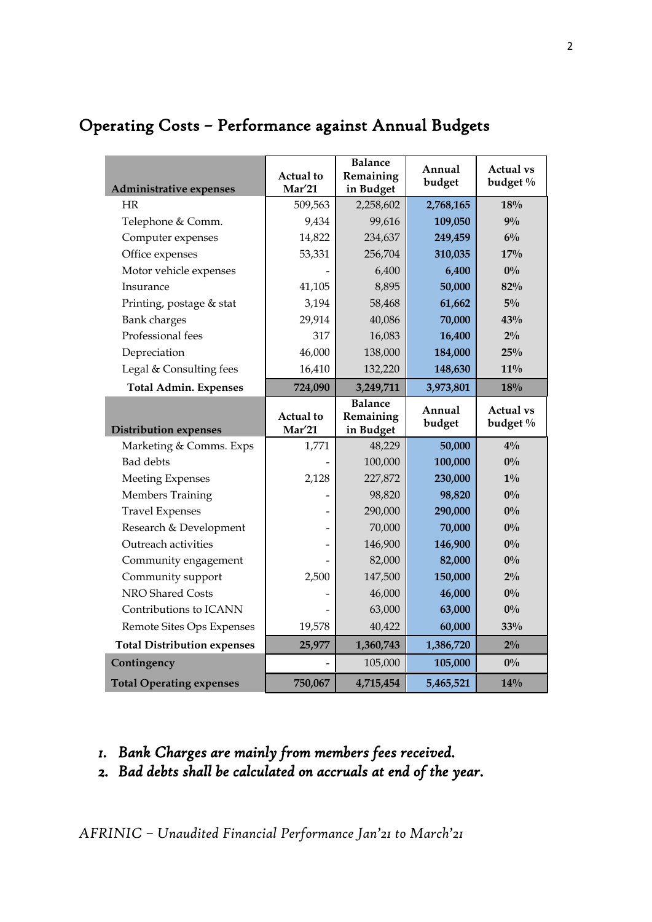| Administrative expenses            | <b>Actual</b> to<br><b>Mar'21</b> | <b>Balance</b><br>Remaining<br>in Budget | Annual<br>budget | <b>Actual vs</b><br>budget % |
|------------------------------------|-----------------------------------|------------------------------------------|------------------|------------------------------|
| HR                                 | 509,563                           | 2,258,602                                | 2,768,165        | 18%                          |
| Telephone & Comm.                  | 9,434                             | 99,616                                   | 109,050          | $9\%$                        |
| Computer expenses                  | 14,822                            | 234,637                                  | 249,459          | $6\%$                        |
| Office expenses                    | 53,331                            | 256,704                                  | 310,035          | 17%                          |
| Motor vehicle expenses             |                                   | 6,400                                    | 6,400            | $0\%$                        |
| Insurance                          | 41,105                            | 8,895                                    | 50,000           | 82%                          |
| Printing, postage & stat           | 3,194                             | 58,468                                   | 61,662           | $5\%$                        |
| <b>Bank</b> charges                | 29,914                            | 40,086                                   | 70,000           | 43%                          |
| Professional fees                  | 317                               | 16,083                                   | 16,400           | $2\%$                        |
| Depreciation                       | 46,000                            | 138,000                                  | 184,000          | 25%                          |
| Legal & Consulting fees            | 16,410                            | 132,220                                  | 148,630          | $11\%$                       |
| <b>Total Admin. Expenses</b>       | 724,090                           | 3,249,711                                | 3,973,801        | 18%                          |
|                                    | <b>Actual</b> to                  | <b>Balance</b><br>Remaining              | Annual           | <b>Actual vs</b>             |
| <b>Distribution expenses</b>       | <b>Mar'21</b>                     | in Budget                                | budget           | budget %                     |
| Marketing & Comms. Exps            | 1,771                             | 48,229                                   | 50,000           | $4\%$                        |
| <b>Bad debts</b>                   |                                   | 100,000                                  | 100,000          | $0\%$                        |
| <b>Meeting Expenses</b>            | 2,128                             | 227,872                                  | 230,000          | $1\%$                        |
| Members Training                   |                                   | 98,820                                   | 98,820           | $0\%$                        |
| <b>Travel Expenses</b>             |                                   | 290,000                                  | 290,000          | $0\%$                        |
| Research & Development             |                                   | 70,000                                   | 70,000           | $0\%$                        |
| Outreach activities                |                                   | 146,900                                  | 146,900          | $0\%$                        |
| Community engagement               |                                   | 82,000                                   | 82,000           | $0\%$                        |
| Community support                  | 2,500                             | 147,500                                  | 150,000          | $2\%$                        |
| NRO Shared Costs                   |                                   | 46,000                                   | 46,000           | $0\%$                        |
| Contributions to ICANN             |                                   | 63,000                                   | 63,000           | $0\%$                        |
| Remote Sites Ops Expenses          | 19,578                            | 40,422                                   | 60,000           | 33%                          |
| <b>Total Distribution expenses</b> | 25,977                            | 1,360,743                                | 1,386,720        | $2\%$                        |
| Contingency                        |                                   | 105,000                                  | 105,000          | $0\%$                        |

# Operating Costs – Performance against Annual Budgets

- *1. Bank Charges are mainly from members fees received.*
- *2. Bad debts shall be calculated on accruals at end of the year.*

*AFRINIC – Unaudited Financial Performance Jan'21 to March'21*